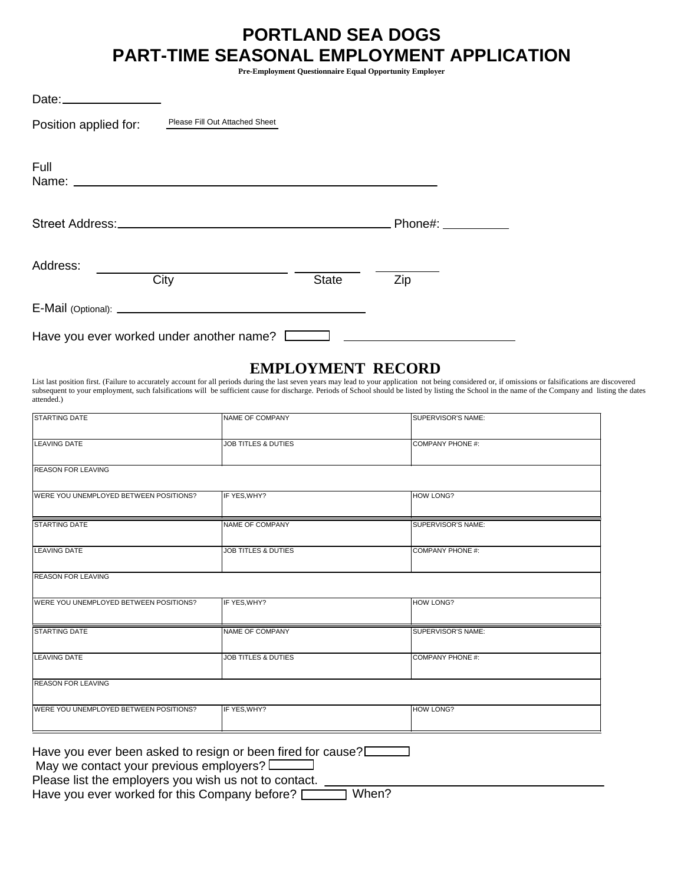# **PORTLAND SEA DOGS PART-TIME SEASONAL EMPLOYMENT APPLICATION**

**Pre-Employment Questionnaire Equal Opportunity Employer** 

| Position applied for:                    | Please Fill Out Attached Sheet                 |              |                     |
|------------------------------------------|------------------------------------------------|--------------|---------------------|
| Full                                     |                                                |              |                     |
|                                          | Street Address: North American Street Address: |              | Phone#: ___________ |
| Address:                                 | City                                           | <b>State</b> | Zip                 |
|                                          |                                                |              |                     |
| Have you ever worked under another name? |                                                |              |                     |

#### **EMPLOYMENT RECORD**

List last position first. (Failure to accurately account for all periods during the last seven years may lead to your application not being considered or, if omissions or falsifications are discovered subsequent to your employment, such falsifications will be sufficient cause for discharge. Periods of School should be listed by listing the School in the name of the Company and listing the dates attended.)

| <b>STARTING DATE</b>                   | NAME OF COMPANY                | SUPERVISOR'S NAME:      |  |
|----------------------------------------|--------------------------------|-------------------------|--|
| <b>LEAVING DATE</b>                    | <b>JOB TITLES &amp; DUTIES</b> | <b>COMPANY PHONE #:</b> |  |
| <b>REASON FOR LEAVING</b>              |                                |                         |  |
| WERE YOU UNEMPLOYED BETWEEN POSITIONS? | IF YES, WHY?                   | <b>HOW LONG?</b>        |  |
| <b>STARTING DATE</b>                   | <b>NAME OF COMPANY</b>         | SUPERVISOR'S NAME:      |  |
| <b>LEAVING DATE</b>                    | <b>JOB TITLES &amp; DUTIES</b> | <b>COMPANY PHONE #:</b> |  |
| <b>REASON FOR LEAVING</b>              |                                |                         |  |
| WERE YOU UNEMPLOYED BETWEEN POSITIONS? | IF YES, WHY?                   | <b>HOW LONG?</b>        |  |
| <b>STARTING DATE</b>                   | <b>NAME OF COMPANY</b>         | SUPERVISOR'S NAME:      |  |
| <b>LEAVING DATE</b>                    | <b>JOB TITLES &amp; DUTIES</b> | <b>COMPANY PHONE #:</b> |  |
| <b>REASON FOR LEAVING</b>              |                                |                         |  |
| WERE YOU UNEMPLOYED BETWEEN POSITIONS? | IF YES, WHY?                   | <b>HOW LONG?</b>        |  |
|                                        |                                |                         |  |

Have you ever been asked to resign or been fired for cause?

May we contact your previous employers?

Please list the employers you wish us not to contact.

Have you ever worked for this Company before?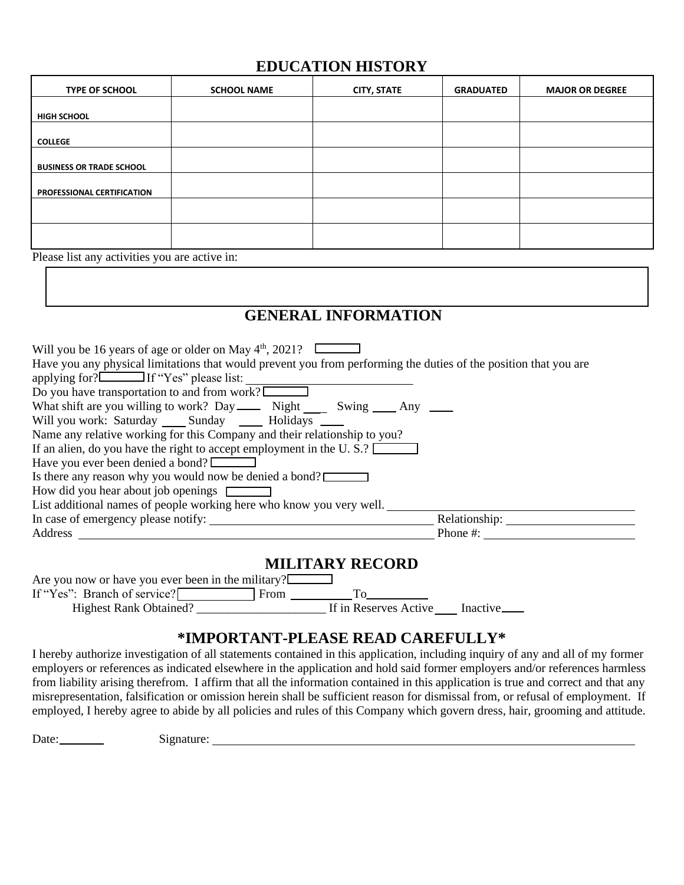## **EDUCATION HISTORY**

| <b>TYPE OF SCHOOL</b>           | <b>SCHOOL NAME</b> | <b>CITY, STATE</b> | <b>GRADUATED</b> | <b>MAJOR OR DEGREE</b> |
|---------------------------------|--------------------|--------------------|------------------|------------------------|
|                                 |                    |                    |                  |                        |
| <b>HIGH SCHOOL</b>              |                    |                    |                  |                        |
| <b>COLLEGE</b>                  |                    |                    |                  |                        |
| <b>BUSINESS OR TRADE SCHOOL</b> |                    |                    |                  |                        |
|                                 |                    |                    |                  |                        |
| PROFESSIONAL CERTIFICATION      |                    |                    |                  |                        |
|                                 |                    |                    |                  |                        |
|                                 |                    |                    |                  |                        |
|                                 |                    |                    |                  |                        |

Please list any activities you are active in:

# **GENERAL INFORMATION**

| Will you be 16 years of age or older on May $4th$ , 2021?                                                        |               |
|------------------------------------------------------------------------------------------------------------------|---------------|
| Have you any physical limitations that would prevent you from performing the duties of the position that you are |               |
| applying for?<br>If "Yes" please list:                                                                           |               |
| Do you have transportation to and from work?                                                                     |               |
| What shift are you willing to work? Day ______ Night ______ Swing _____ Any _____                                |               |
| Will you work: Saturday ______ Sunday _______ Holidays ______                                                    |               |
| Name any relative working for this Company and their relationship to you?                                        |               |
| If an alien, do you have the right to accept employment in the U.S.?                                             |               |
| Have you ever been denied a bond?                                                                                |               |
| Is there any reason why you would now be denied a bond?                                                          |               |
| How did you hear about job openings                                                                              |               |
| List additional names of people working here who know you very well.                                             |               |
| In case of emergency please notify:                                                                              | Relationship: |
| Address                                                                                                          | Phone $\#$ :  |
|                                                                                                                  |               |

### **MILITARY RECORD**

| Are you now or have you ever been in the military? $\Box$ |      |                       |          |
|-----------------------------------------------------------|------|-----------------------|----------|
| If "Yes": Branch of service?                              | From |                       |          |
| <b>Highest Rank Obtained?</b>                             |      | If in Reserves Active | Inactive |

## **\*IMPORTANT-PLEASE READ CAREFULLY\***

I hereby authorize investigation of all statements contained in this application, including inquiry of any and all of my former employers or references as indicated elsewhere in the application and hold said former employers and/or references harmless from liability arising therefrom. I affirm that all the information contained in this application is true and correct and that any misrepresentation, falsification or omission herein shall be sufficient reason for dismissal from, or refusal of employment. If employed, I hereby agree to abide by all policies and rules of this Company which govern dress, hair, grooming and attitude.

Date: Signature: